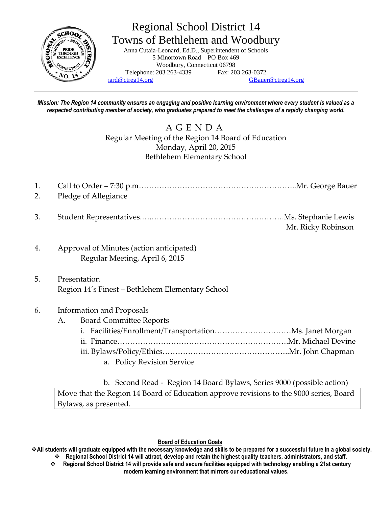

# Regional School District 14 Towns of Bethlehem and Woodbury

Anna Cutaia-Leonard, Ed.D., Superintendent of Schools 5 Minortown Road – PO Box 469 Woodbury, Connecticut 06798 Telephone: 203 263-4339 Fax: 203 263-0372  $\text{and} @ \text{ctreg14.org}$  [GBauer@ctreg14.org](mailto:GBauer@ctreg14.org)

*Mission: The Region 14 community ensures an engaging and positive learning environment where every student is valued as a respected contributing member of society, who graduates prepared to meet the challenges of a rapidly changing world.*

> A G E N D A Regular Meeting of the Region 14 Board of Education Monday, April 20, 2015 Bethlehem Elementary School

- 1. Call to Order 7:30 p.m……………………………………………………..Mr. George Bauer 2. Pledge of Allegiance
- 3. Student Representatives.….…………………………………………….Ms. Stephanie Lewis Mr. Ricky Robinson
- 4. Approval of Minutes (action anticipated) Regular Meeting, April 6, 2015
- 5. Presentation Region 14's Finest – Bethlehem Elementary School

# 6. Information and Proposals

- A. Board Committee Reports
	- i. Facilities/Enrollment/Transportation…………………………Ms. Janet Morgan ii. Finance………………………………………………………….Mr. Michael Devine iii. Bylaws/Policy/Ethics…………………………………………..Mr. John Chapman
		- a. Policy Revision Service
		- b. Second Read Region 14 Board Bylaws, Series 9000 (possible action)

Move that the Region 14 Board of Education approve revisions to the 9000 series, Board Bylaws, as presented.

## **Board of Education Goals**

**All students will graduate equipped with the necessary knowledge and skills to be prepared for a successful future in a global society. Regional School District 14 will attract, develop and retain the highest quality teachers, administrators, and staff.**

 **Regional School District 14 will provide safe and secure facilities equipped with technology enabling a 21st century modern learning environment that mirrors our educational values.**